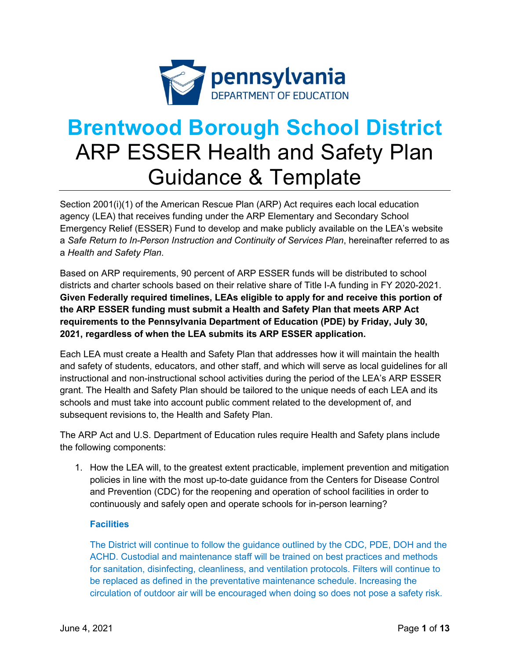

# **Brentwood Borough School District**  ARP ESSER Health and Safety Plan Guidance & Template

Section 2001(i)(1) of the American Rescue Plan (ARP) Act requires each local education agency (LEA) that receives funding under the ARP Elementary and Secondary School Emergency Relief (ESSER) Fund to develop and make publicly available on the LEA's website a *Safe Return to In-Person Instruction and Continuity of Services Plan*, hereinafter referred to as a *Health and Safety Plan*.

Based on ARP requirements, 90 percent of ARP ESSER funds will be distributed to school districts and charter schools based on their relative share of Title I-A funding in FY 2020-2021. **Given Federally required timelines, LEAs eligible to apply for and receive this portion of the ARP ESSER funding must submit a Health and Safety Plan that meets ARP Act requirements to the Pennsylvania Department of Education (PDE) by Friday, July 30, 2021, regardless of when the LEA submits its ARP ESSER application.** 

Each LEA must create a Health and Safety Plan that addresses how it will maintain the health and safety of students, educators, and other staff, and which will serve as local guidelines for all instructional and non-instructional school activities during the period of the LEA's ARP ESSER grant. The Health and Safety Plan should be tailored to the unique needs of each LEA and its schools and must take into account public comment related to the development of, and subsequent revisions to, the Health and Safety Plan.

The ARP Act and U.S. Department of Education rules require Health and Safety plans include the following components:

1. How the LEA will, to the greatest extent practicable, implement prevention and mitigation policies in line with the most up-to-date guidance from the Centers for Disease Control and Prevention (CDC) for the reopening and operation of school facilities in order to continuously and safely open and operate schools for in-person learning?

## **Facilities**

The District will continue to follow the guidance outlined by the CDC, PDE, DOH and the ACHD. Custodial and maintenance staff will be trained on best practices and methods for sanitation, disinfecting, cleanliness, and ventilation protocols. Filters will continue to be replaced as defined in the preventative maintenance schedule. Increasing the circulation of outdoor air will be encouraged when doing so does not pose a safety risk.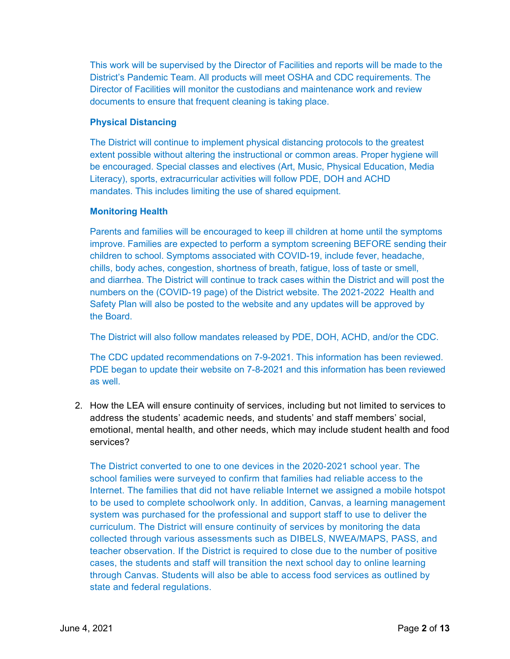This work will be supervised by the Director of Facilities and reports will be made to the District's Pandemic Team. All products will meet OSHA and CDC requirements. The Director of Facilities will monitor the custodians and maintenance work and review documents to ensure that frequent cleaning is taking place.

### **Physical Distancing**

The District will continue to implement physical distancing protocols to the greatest extent possible without altering the instructional or common areas. Proper hygiene will be encouraged. Special classes and electives (Art, Music, Physical Education, Media Literacy), sports, extracurricular activities will follow PDE, DOH and ACHD mandates. This includes limiting the use of shared equipment.

### **Monitoring Health**

Parents and families will be encouraged to keep ill children at home until the symptoms improve. Families are expected to perform a symptom screening BEFORE sending their children to school. Symptoms associated with COVID-19, include fever, headache, chills, body aches, congestion, shortness of breath, fatigue, loss of taste or smell, and diarrhea. The District will continue to track cases within the District and will post the numbers on the (COVID-19 page) of the District website. The 2021-2022 Health and Safety Plan will also be posted to the website and any updates will be approved by the Board.

The District will also follow mandates released by PDE, DOH, ACHD, and/or the CDC.

The CDC updated recommendations on 7-9-2021. This information has been reviewed. PDE began to update their website on 7-8-2021 and this information has been reviewed as well.

2. How the LEA will ensure continuity of services, including but not limited to services to address the students' academic needs, and students' and staff members' social, emotional, mental health, and other needs, which may include student health and food services?

The District converted to one to one devices in the 2020-2021 school year. The school families were surveyed to confirm that families had reliable access to the Internet. The families that did not have reliable Internet we assigned a mobile hotspot to be used to complete schoolwork only. In addition, Canvas, a learning management system was purchased for the professional and support staff to use to deliver the curriculum. The District will ensure continuity of services by monitoring the data collected through various assessments such as DIBELS, NWEA/MAPS, PASS, and teacher observation. If the District is required to close due to the number of positive cases, the students and staff will transition the next school day to online learning through Canvas. Students will also be able to access food services as outlined by state and federal regulations.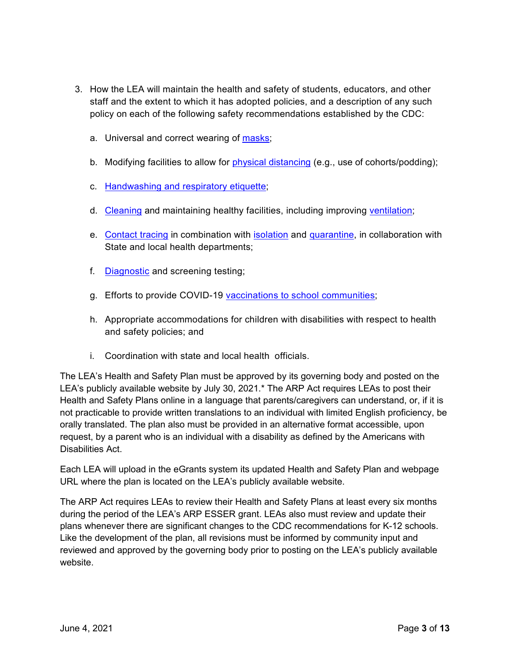- 3. How the LEA will maintain the health and safety of students, educators, and other staff and the extent to which it has adopted policies, and a description of any such policy on each of the following safety recommendations established by the CDC:
	- a. Universal and correct wearing of [masks;](https://www.cdc.gov/coronavirus/2019-ncov/prevent-getting-sick/cloth-face-cover-guidance.html?CDC_AA_refVal=https%3A%2F%2Fwww.cdc.gov%2Fcoronavirus%2F2019-ncov%2Fcommunity%2Fschools-childcare%2Fcloth-face-cover.html)
	- b. Modifying facilities to allow for [physical distancing](https://www.cdc.gov/coronavirus/2019-ncov/prevent-getting-sick/social-distancing.html) (e.g., use of cohorts/podding);
	- c. [Handwashing and respiratory etiquette;](https://www.cdc.gov/handwashing/when-how-handwashing.html)
	- d. [Cleaning](https://www.cdc.gov/coronavirus/2019-ncov/community/clean-disinfect/index.html) and maintaining healthy facilities, including improving [ventilation;](https://www.cdc.gov/coronavirus/2019-ncov/community/schools-childcare/ventilation.html)
	- e. [Contact tracing](https://www.cdc.gov/coronavirus/2019-ncov/php/contact-tracing/contact-tracing-resources.html?CDC_AA_refVal=https%3A%2F%2Fwww.cdc.gov%2Fcoronavirus%2F2019-ncov%2Fphp%2Fopen-america%2Fcontact-tracing-resources.html) in combination with [isolation](https://www.cdc.gov/coronavirus/2019-ncov/if-you-are-sick/isolation.html) and [quarantine,](https://www.cdc.gov/coronavirus/2019-ncov/if-you-are-sick/quarantine.html) in collaboration with State and local health departments;
	- f. [Diagnostic](https://www.cdc.gov/coronavirus/2019-ncov/lab/pooling-procedures.html) and screening testing;
	- g. Efforts to provide COVID-19 [vaccinations to school communities;](https://www.cdc.gov/coronavirus/2019-ncov/vaccines/toolkits/schools-childcare.html)
	- h. Appropriate accommodations for children with disabilities with respect to health and safety policies; and
	- i. Coordination with state and local health officials.

The LEA's Health and Safety Plan must be approved by its governing body and posted on the LEA's publicly available website by July 30, 2021.\* The ARP Act requires LEAs to post their Health and Safety Plans online in a language that parents/caregivers can understand, or, if it is not practicable to provide written translations to an individual with limited English proficiency, be orally translated. The plan also must be provided in an alternative format accessible, upon request, by a parent who is an individual with a disability as defined by the Americans with Disabilities Act.

Each LEA will upload in the eGrants system its updated Health and Safety Plan and webpage URL where the plan is located on the LEA's publicly available website.

The ARP Act requires LEAs to review their Health and Safety Plans at least every six months during the period of the LEA's ARP ESSER grant. LEAs also must review and update their plans whenever there are significant changes to the CDC recommendations for K-12 schools. Like the development of the plan, all revisions must be informed by community input and reviewed and approved by the governing body prior to posting on the LEA's publicly available website.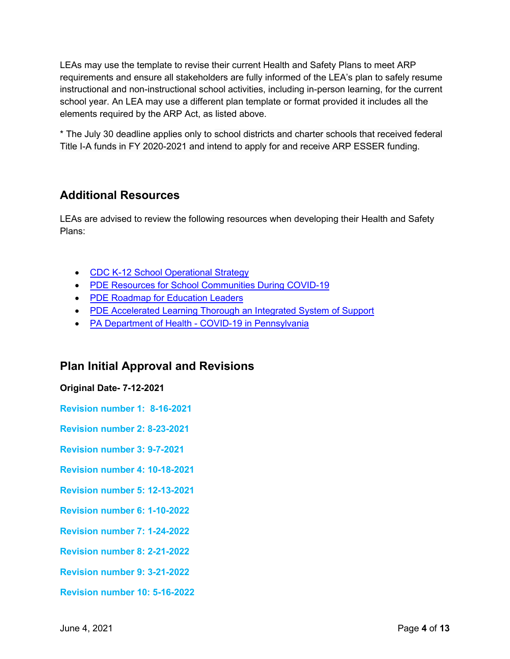LEAs may use the template to revise their current Health and Safety Plans to meet ARP requirements and ensure all stakeholders are fully informed of the LEA's plan to safely resume instructional and non-instructional school activities, including in-person learning, for the current school year. An LEA may use a different plan template or format provided it includes all the elements required by the ARP Act, as listed above.

\* The July 30 deadline applies only to school districts and charter schools that received federal Title I-A funds in FY 2020-2021 and intend to apply for and receive ARP ESSER funding.

# **Additional Resources**

LEAs are advised to review the following resources when developing their Health and Safety Plans:

- [CDC K-12 School Operational Strategy](https://www.cdc.gov/coronavirus/2019-ncov/community/schools-childcare/operation-strategy.html?CDC_AA_refVal=https%3A%2F%2Fwww.cdc.gov%2Fcoronavirus%2F2019-ncov%2Fcommunity%2Fschools-childcare%2Fschools.html)
- [PDE Resources for School Communities During COVID-19](https://www.education.pa.gov/Schools/safeschools/emergencyplanning/COVID-19/Pages/default.aspx)
- [PDE Roadmap for Education Leaders](https://www.education.pa.gov/Schools/safeschools/emergencyplanning/COVID-19/SchoolReopeningGuidance/ReopeningPreKto12/CreatingEquitableSchoolSystems/Pages/default.aspx)
- [PDE Accelerated Learning Thorough an Integrated System of Support](https://www.education.pa.gov/Schools/safeschools/emergencyplanning/COVID-19/SchoolReopeningGuidance/ReopeningPreKto12/CreatingEquitableSchoolSystems/AcceleratedLearning/Pages/default.aspx)
- [PA Department of Health COVID-19 in Pennsylvania](https://www.health.pa.gov/topics/disease/coronavirus/Pages/Coronavirus.aspx)

## **Plan Initial Approval and Revisions**

## **Original Date- 7-12-2021**

**Revision number 1: 8-16-2021**

**Revision number 2: 8-23-2021**

**Revision number 3: 9-7-2021**

**Revision number 4: 10-18-2021**

**Revision number 5: 12-13-2021**

**Revision number 6: 1-10-2022**

**Revision number 7: 1-24-2022**

**Revision number 8: 2-21-2022**

**Revision number 9: 3-21-2022**

**Revision number 10: 5-16-2022**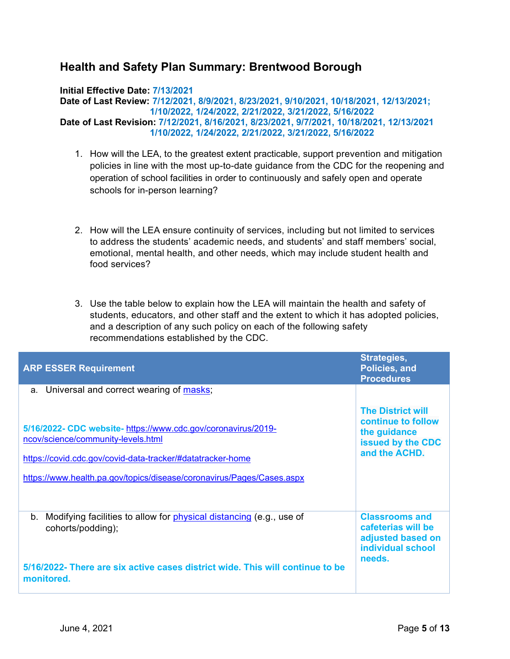# **Health and Safety Plan Summary: Brentwood Borough**

#### **Initial Effective Date: 7/13/2021**

**Date of Last Review: 7/12/2021, 8/9/2021, 8/23/2021, 9/10/2021, 10/18/2021, 12/13/2021; 1/10/2022, 1/24/2022, 2/21/2022, 3/21/2022, 5/16/2022 Date of Last Revision: 7/12/2021, 8/16/2021, 8/23/2021, 9/7/2021, 10/18/2021, 12/13/2021 1/10/2022, 1/24/2022, 2/21/2022, 3/21/2022, 5/16/2022**

- 1. How will the LEA, to the greatest extent practicable, support prevention and mitigation policies in line with the most up-to-date guidance from the CDC for the reopening and operation of school facilities in order to continuously and safely open and operate schools for in-person learning?
- 2. How will the LEA ensure continuity of services, including but not limited to services to address the students' academic needs, and students' and staff members' social, emotional, mental health, and other needs, which may include student health and food services?
- 3. Use the table below to explain how the LEA will maintain the health and safety of students, educators, and other staff and the extent to which it has adopted policies, and a description of any such policy on each of the following safety recommendations established by the CDC.

| <b>ARP ESSER Requirement</b>                                                                                                                                                                                                               | Strategies,<br><b>Policies, and</b><br><b>Procedures</b>                                             |
|--------------------------------------------------------------------------------------------------------------------------------------------------------------------------------------------------------------------------------------------|------------------------------------------------------------------------------------------------------|
| Universal and correct wearing of masks;<br>a.                                                                                                                                                                                              |                                                                                                      |
| 5/16/2022- CDC website- https://www.cdc.gov/coronavirus/2019-<br>ncov/science/community-levels.html<br>https://covid.cdc.gov/covid-data-tracker/#datatracker-home<br>https://www.health.pa.gov/topics/disease/coronavirus/Pages/Cases.aspx | <b>The District will</b><br>continue to follow<br>the guidance<br>issued by the CDC<br>and the ACHD. |
| Modifying facilities to allow for <i>physical distancing</i> (e.g., use of<br>b.<br>cohorts/podding);<br>5/16/2022- There are six active cases district wide. This will continue to be<br>monitored.                                       | <b>Classrooms and</b><br>cafeterias will be<br>adjusted based on<br>individual school<br>needs.      |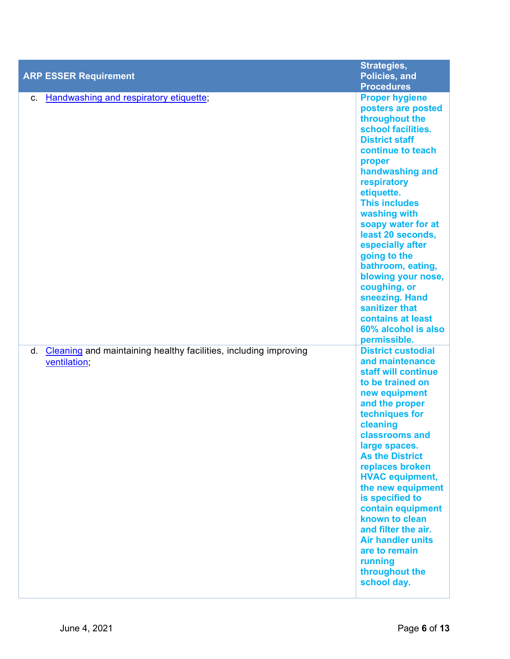|                                                                                               | Strategies,                                                                                                                                                                                                                                                                                                                                                                                                                                                                   |
|-----------------------------------------------------------------------------------------------|-------------------------------------------------------------------------------------------------------------------------------------------------------------------------------------------------------------------------------------------------------------------------------------------------------------------------------------------------------------------------------------------------------------------------------------------------------------------------------|
| <b>ARP ESSER Requirement</b>                                                                  | Policies, and                                                                                                                                                                                                                                                                                                                                                                                                                                                                 |
|                                                                                               | <b>Procedures</b>                                                                                                                                                                                                                                                                                                                                                                                                                                                             |
| <b>Handwashing and respiratory etiquette;</b><br>C.                                           | <b>Proper hygiene</b><br>posters are posted<br>throughout the<br>school facilities.<br><b>District staff</b><br>continue to teach<br>proper<br>handwashing and<br>respiratory<br>etiquette.<br><b>This includes</b><br>washing with<br>soapy water for at<br>least 20 seconds,<br>especially after<br>going to the<br>bathroom, eating,<br>blowing your nose,<br>coughing, or<br>sneezing. Hand<br>sanitizer that<br>contains at least<br>60% alcohol is also<br>permissible. |
| <b>Cleaning</b> and maintaining healthy facilities, including improving<br>d.<br>ventilation; | <b>District custodial</b><br>and maintenance<br>staff will continue<br>to be trained on<br>new equipment<br>and the proper<br>techniques for<br>cleaning<br>classrooms and<br>large spaces.<br><b>As the District</b><br>replaces broken<br><b>HVAC equipment,</b><br>the new equipment<br>is specified to<br>contain equipment<br>known to clean<br>and filter the air.<br><b>Air handler units</b><br>are to remain<br>running<br>throughout the<br>school day.             |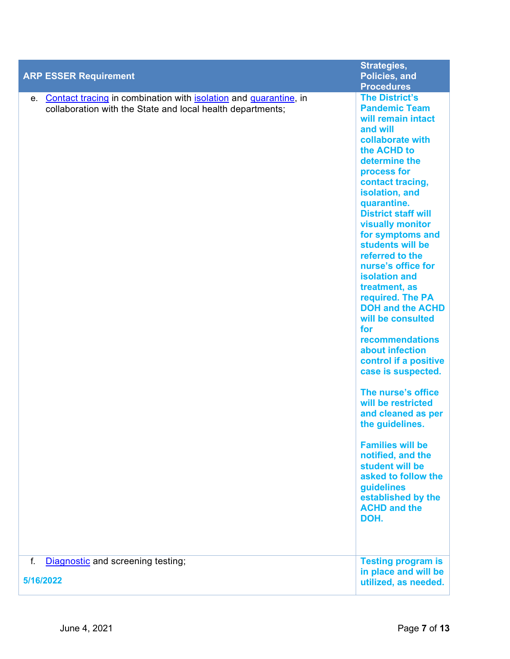|                                                                                                                                   | Strategies,                                                                                                                                                                                                                                                                                                                                                                                                                                                                                                                                                                                                                                                                                                                                                                                                  |
|-----------------------------------------------------------------------------------------------------------------------------------|--------------------------------------------------------------------------------------------------------------------------------------------------------------------------------------------------------------------------------------------------------------------------------------------------------------------------------------------------------------------------------------------------------------------------------------------------------------------------------------------------------------------------------------------------------------------------------------------------------------------------------------------------------------------------------------------------------------------------------------------------------------------------------------------------------------|
| <b>ARP ESSER Requirement</b>                                                                                                      | Policies, and                                                                                                                                                                                                                                                                                                                                                                                                                                                                                                                                                                                                                                                                                                                                                                                                |
|                                                                                                                                   | <b>Procedures</b>                                                                                                                                                                                                                                                                                                                                                                                                                                                                                                                                                                                                                                                                                                                                                                                            |
| e. Contact tracing in combination with isolation and quarantine, in<br>collaboration with the State and local health departments; | <b>The District's</b><br><b>Pandemic Team</b><br>will remain intact<br>and will<br>collaborate with<br>the ACHD to<br>determine the<br>process for<br>contact tracing,<br>isolation, and<br>quarantine.<br><b>District staff will</b><br><b>visually monitor</b><br>for symptoms and<br>students will be<br>referred to the<br>nurse's office for<br><b>isolation and</b><br>treatment, as<br>required. The PA<br><b>DOH and the ACHD</b><br>will be consulted<br>for<br>recommendations<br>about infection<br>control if a positive<br>case is suspected.<br>The nurse's office<br>will be restricted<br>and cleaned as per<br>the guidelines.<br><b>Families will be</b><br>notified, and the<br>student will be<br>asked to follow the<br>guidelines<br>established by the<br><b>ACHD and the</b><br>DOH. |
|                                                                                                                                   |                                                                                                                                                                                                                                                                                                                                                                                                                                                                                                                                                                                                                                                                                                                                                                                                              |
| f.<br>Diagnostic and screening testing;<br>5/16/2022                                                                              | <b>Testing program is</b><br>in place and will be<br>utilized, as needed.                                                                                                                                                                                                                                                                                                                                                                                                                                                                                                                                                                                                                                                                                                                                    |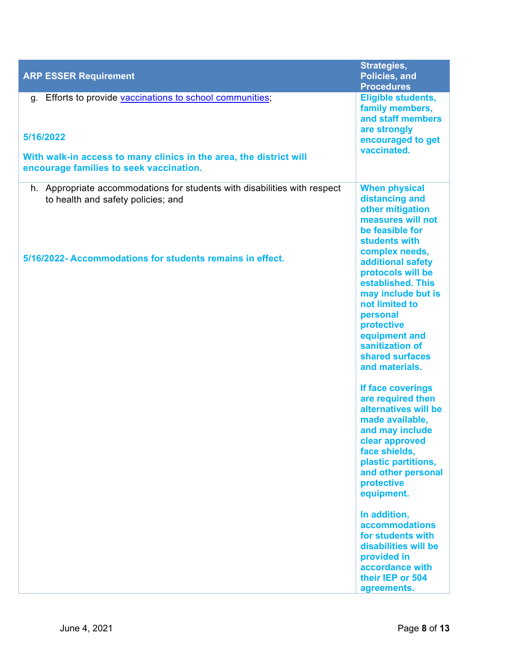| <b>ARP ESSER Requirement</b>                                                                                                                                                               | Strategies,<br>Policies, and<br><b>Procedures</b>                                                                                                                                                                |
|--------------------------------------------------------------------------------------------------------------------------------------------------------------------------------------------|------------------------------------------------------------------------------------------------------------------------------------------------------------------------------------------------------------------|
| Efforts to provide vaccinations to school communities;<br>g.<br>5/16/2022<br>With walk-in access to many clinics in the area, the district will<br>encourage families to seek vaccination. | <b>Eligible students,</b><br>family members,<br>and staff members<br>are strongly<br>encouraged to get<br>vaccinated.                                                                                            |
| h. Appropriate accommodations for students with disabilities with respect<br>to health and safety policies; and                                                                            | <b>When physical</b><br>distancing and<br>other mitigation<br>measures will not<br>be feasible for<br>students with<br>complex needs,                                                                            |
| 5/16/2022- Accommodations for students remains in effect.                                                                                                                                  | additional safety<br>protocols will be<br>established. This<br>may include but is<br>not limited to<br>personal<br>protective<br>equipment and<br>sanitization of<br>shared surfaces<br>and materials.           |
|                                                                                                                                                                                            | If face coverings<br>are required then<br>alternatives will be<br>made available,<br>and may include<br>clear approved<br>face shields,<br>plastic partitions,<br>and other personal<br>protective<br>equipment. |
|                                                                                                                                                                                            | In addition,<br><b>accommodations</b><br>for students with<br>disabilities will be<br>provided in<br>accordance with<br>their IEP or 504<br>agreements.                                                          |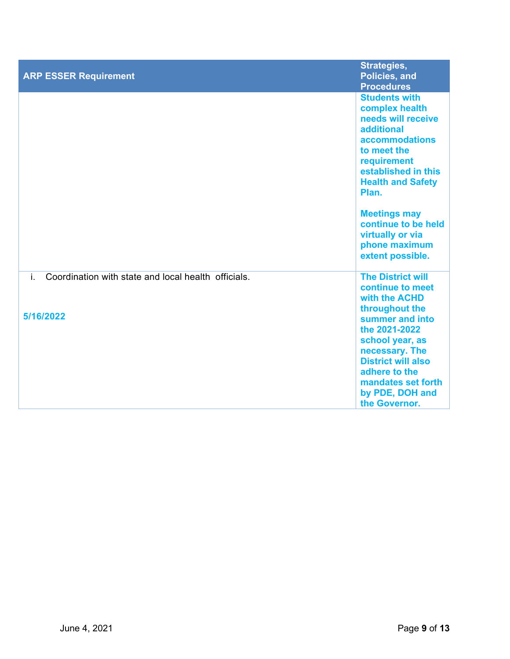| <b>ARP ESSER Requirement</b>                                           | Strategies,<br>Policies, and<br><b>Procedures</b>                                                                                                                                                                                                                                                    |
|------------------------------------------------------------------------|------------------------------------------------------------------------------------------------------------------------------------------------------------------------------------------------------------------------------------------------------------------------------------------------------|
|                                                                        | <b>Students with</b><br>complex health<br>needs will receive<br>additional<br><b>accommodations</b><br>to meet the<br>requirement<br>established in this<br><b>Health and Safety</b><br>Plan.<br><b>Meetings may</b><br>continue to be held<br>virtually or via<br>phone maximum<br>extent possible. |
| Coordination with state and local health officials.<br>i.<br>5/16/2022 | <b>The District will</b><br>continue to meet<br>with the ACHD<br>throughout the<br>summer and into<br>the 2021-2022<br>school year, as<br>necessary. The<br><b>District will also</b>                                                                                                                |
|                                                                        | adhere to the<br>mandates set forth<br>by PDE, DOH and<br>the Governor.                                                                                                                                                                                                                              |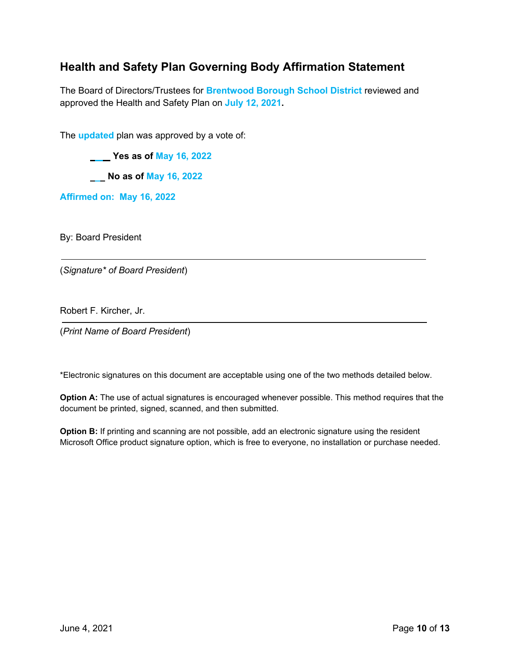# **Health and Safety Plan Governing Body Affirmation Statement**

The Board of Directors/Trustees for **Brentwood Borough School District** reviewed and approved the Health and Safety Plan on **July 12, 2021.**

The **updated** plan was approved by a vote of:

 **Yes as of May 16, 2022**

 **No as of May 16, 2022**

**Affirmed on: May 16, 2022**

By: Board President

(*Signature\* of Board President*)

Robert F. Kircher, Jr.

(*Print Name of Board President*)

\*Electronic signatures on this document are acceptable using one of the two methods detailed below.

**Option A:** The use of actual signatures is encouraged whenever possible. This method requires that the document be printed, signed, scanned, and then submitted.

**Option B:** If printing and scanning are not possible, add an electronic signature using the resident Microsoft Office product signature option, which is free to everyone, no installation or purchase needed.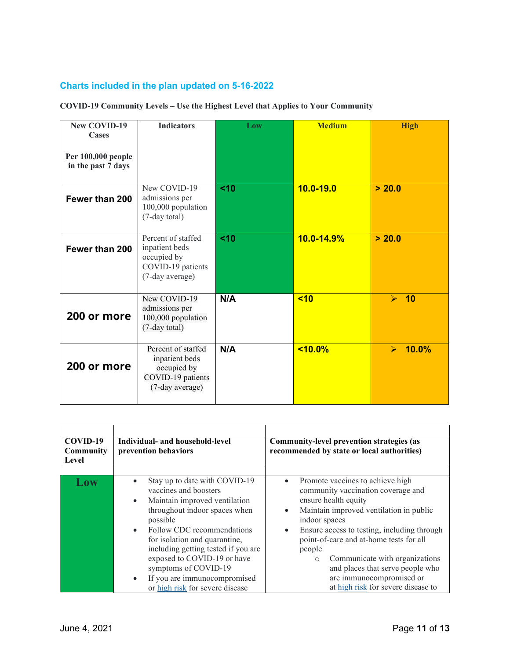## **Charts included in the plan updated on 5-16-2022**

#### **COVID-19 Community Levels – Use the Highest Level that Applies to Your Community**

| <b>New COVID-19</b><br>Cases<br>Per 100,000 people<br>in the past 7 days | <b>Indicators</b>                                                                           | Low | <b>Medium</b> | <b>High</b>                    |
|--------------------------------------------------------------------------|---------------------------------------------------------------------------------------------|-----|---------------|--------------------------------|
| Fewer than 200                                                           | New COVID-19<br>admissions per<br>100,000 population<br>(7-day total)                       | <10 | $10.0 - 19.0$ | > 20.0                         |
| Fewer than 200                                                           | Percent of staffed<br>inpatient beds<br>occupied by<br>COVID-19 patients<br>(7-day average) | <10 | 10.0-14.9%    | > 20.0                         |
| 200 or more                                                              | New COVID-19<br>admissions per<br>100,000 population<br>(7-day total)                       | N/A | $10$          | 10<br>$\blacktriangle$         |
| 200 or more                                                              | Percent of staffed<br>inpatient beds<br>occupied by<br>COVID-19 patients<br>(7-day average) | N/A | $< 10.0\%$    | 10.0%<br>$\blacktriangleright$ |

| COVID-19<br>Community<br>Level | Individual- and household-level<br>prevention behaviors                                                                                                                                                                                                                                                                                                                                                     | Community-level prevention strategies (as<br>recommended by state or local authorities)                                                                                                                                                                                                                                                                                                                                                                  |
|--------------------------------|-------------------------------------------------------------------------------------------------------------------------------------------------------------------------------------------------------------------------------------------------------------------------------------------------------------------------------------------------------------------------------------------------------------|----------------------------------------------------------------------------------------------------------------------------------------------------------------------------------------------------------------------------------------------------------------------------------------------------------------------------------------------------------------------------------------------------------------------------------------------------------|
| Low                            | Stay up to date with COVID-19<br>vaccines and boosters<br>Maintain improved ventilation<br>$\bullet$<br>throughout indoor spaces when<br>possible<br>Follow CDC recommendations<br>$\bullet$<br>for isolation and quarantine,<br>including getting tested if you are<br>exposed to COVID-19 or have<br>symptoms of COVID-19<br>If you are immunocompromised<br>$\bullet$<br>or high risk for severe disease | Promote vaccines to achieve high<br>$\bullet$<br>community vaccination coverage and<br>ensure health equity<br>Maintain improved ventilation in public<br>$\bullet$<br>indoor spaces<br>Ensure access to testing, including through<br>$\bullet$<br>point-of-care and at-home tests for all<br>people<br>Communicate with organizations<br>$\circ$<br>and places that serve people who<br>are immunocompromised or<br>at high risk for severe disease to |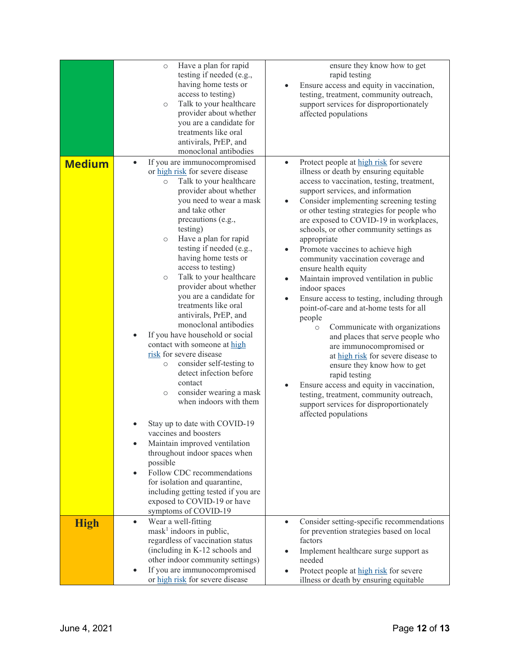|               | Have a plan for rapid<br>$\circ$<br>testing if needed (e.g.,<br>having home tests or<br>access to testing)<br>Talk to your healthcare<br>$\circ$<br>provider about whether<br>you are a candidate for<br>treatments like oral<br>antivirals, PrEP, and<br>monoclonal antibodies                                                                                                                                                                                                                                                                                                                                                                                                                                                                                                                                                                                                                                                                                                                                                        | ensure they know how to get<br>rapid testing<br>Ensure access and equity in vaccination,<br>$\bullet$<br>testing, treatment, community outreach,<br>support services for disproportionately<br>affected populations                                                                                                                                                                                                                                                                                                                                                                                                                                                                                                                                                                                                                                                                                                                                                                                                                                              |
|---------------|----------------------------------------------------------------------------------------------------------------------------------------------------------------------------------------------------------------------------------------------------------------------------------------------------------------------------------------------------------------------------------------------------------------------------------------------------------------------------------------------------------------------------------------------------------------------------------------------------------------------------------------------------------------------------------------------------------------------------------------------------------------------------------------------------------------------------------------------------------------------------------------------------------------------------------------------------------------------------------------------------------------------------------------|------------------------------------------------------------------------------------------------------------------------------------------------------------------------------------------------------------------------------------------------------------------------------------------------------------------------------------------------------------------------------------------------------------------------------------------------------------------------------------------------------------------------------------------------------------------------------------------------------------------------------------------------------------------------------------------------------------------------------------------------------------------------------------------------------------------------------------------------------------------------------------------------------------------------------------------------------------------------------------------------------------------------------------------------------------------|
| <b>Medium</b> | If you are immunocompromised<br>$\bullet$<br>or high risk for severe disease<br>Talk to your healthcare<br>$\circ$<br>provider about whether<br>you need to wear a mask<br>and take other<br>precautions (e.g.,<br>testing)<br>Have a plan for rapid<br>$\circ$<br>testing if needed (e.g.,<br>having home tests or<br>access to testing)<br>Talk to your healthcare<br>$\circ$<br>provider about whether<br>you are a candidate for<br>treatments like oral<br>antivirals, PrEP, and<br>monoclonal antibodies<br>If you have household or social<br>contact with someone at high<br>risk for severe disease<br>consider self-testing to<br>$\circ$<br>detect infection before<br>contact<br>consider wearing a mask<br>$\circ$<br>when indoors with them<br>Stay up to date with COVID-19<br>vaccines and boosters<br>Maintain improved ventilation<br>throughout indoor spaces when<br>possible<br>Follow CDC recommendations<br>for isolation and quarantine,<br>including getting tested if you are<br>exposed to COVID-19 or have | Protect people at high risk for severe<br>$\bullet$<br>illness or death by ensuring equitable<br>access to vaccination, testing, treatment,<br>support services, and information<br>Consider implementing screening testing<br>$\bullet$<br>or other testing strategies for people who<br>are exposed to COVID-19 in workplaces,<br>schools, or other community settings as<br>appropriate<br>Promote vaccines to achieve high<br>$\bullet$<br>community vaccination coverage and<br>ensure health equity<br>Maintain improved ventilation in public<br>$\bullet$<br>indoor spaces<br>Ensure access to testing, including through<br>point-of-care and at-home tests for all<br>people<br>Communicate with organizations<br>$\circ$<br>and places that serve people who<br>are immunocompromised or<br>at high risk for severe disease to<br>ensure they know how to get<br>rapid testing<br>Ensure access and equity in vaccination,<br>$\bullet$<br>testing, treatment, community outreach,<br>support services for disproportionately<br>affected populations |
| <b>High</b>   | symptoms of COVID-19<br>Wear a well-fitting<br>$\bullet$<br>$mask1$ indoors in public,<br>regardless of vaccination status<br>(including in K-12 schools and<br>other indoor community settings)<br>If you are immunocompromised<br>or high risk for severe disease                                                                                                                                                                                                                                                                                                                                                                                                                                                                                                                                                                                                                                                                                                                                                                    | Consider setting-specific recommendations<br>$\bullet$<br>for prevention strategies based on local<br>factors<br>Implement healthcare surge support as<br>$\bullet$<br>needed<br>Protect people at high risk for severe<br>illness or death by ensuring equitable                                                                                                                                                                                                                                                                                                                                                                                                                                                                                                                                                                                                                                                                                                                                                                                                |